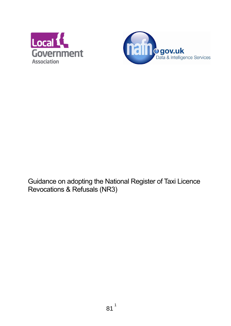



Guidance on adopting the National Register of Taxi Licence Revocations & Refusals (NR3)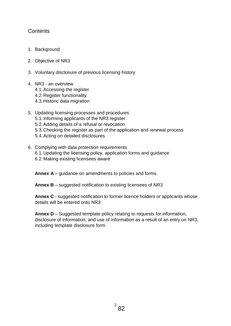## **Contents**

- 1. Background
- 2. Objective of NR3
- 3. Voluntary disclosure of previous licensing history

#### 4. NR3 - an overview

- 4.1.Accessing the register
- 4.2.Register functionality
- 4.3.Historic data migration
- 5. Updating licensing processes and procedures
	- 5.1.Informing applicants of the NR3 register
	- 5.2.Adding details of a refusal or revocation
	- 5.3.Checking the register as part of the application and renewal process
	- 5.4.Acting on detailed disclosures
- 6. Complying with data protection requirements
	- 6.1.Updating the licensing policy, application forms and guidance
	- 6.2.Making existing licensees aware

**Annex A** – guidance on amendments to policies and forms

**Annex B** – suggested notification to existing licensees of NR3

**Annex C** - suggested notification to former licence holders or applicants whose details will be entered onto NR3

**Annex D** – Suggested template policy relating to requests for information, disclosure of information, and use of information as a result of an entry on NR3, including template disclosure form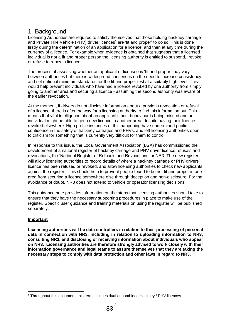## 1. Background

Licensing Authorities are required to satisfy themselves that those holding hackney carriage and Private Hire Vehicle (PHV) driver licences<sup>1</sup> are 'fit and proper' to do so. This is done firstly during the determination of an application for a licence, and then at any time during the currency of a licence. For example when evidence is obtained that suggests that a licensed individual is not a fit and proper person the licensing authority is entitled to suspend, revoke or refuse to renew a licence.

The process of assessing whether an applicant or licensee is 'fit and proper' may vary between authorities but there is widespread consensus on the need to increase consistency and set national minimum standards for the fit and proper test at a suitably high level. This would help prevent individuals who have had a licence revoked by one authority from simply going to another area and securing a licence - assuming the second authority was aware of the earlier revocation.

At the moment, if drivers do not disclose information about a previous revocation or refusal of a licence, there is often no way for a licensing authority to find this information out. This means that vital intelligence about an applicant's past behaviour is being missed and an individual might be able to get a new licence in another area, despite having their licence revoked elsewhere. High profile instances of this happening have undermined public confidence in the safety of hackney carriages and PHVs, and left licensing authorities open to criticism for something that is currently very difficult for them to control.

In response to this issue, the Local Government Association (LGA) has commissioned the development of a national register of hackney carriage and PHV driver licence refusals and revocations, the 'National Register of Refusals and Revocations' or NR3. The new register will allow licensing authorities to record details of where a hackney carriage or PHV drivers' licence has been refused or revoked, and allow licensing authorities to check new applicants against the register. This should help to prevent people found to be not fit and proper in one area from securing a licence somewhere else through deception and non-disclosure. For the avoidance of doubt, NR3 does not extend to vehicle or operator licensing decisions.

This guidance note provides information on the steps that licensing authorities should take to ensure that they have the necessary supporting procedures in place to make use of the register. Specific user guidance and training materials on using the register will be published separately.

#### **Important**

**Licensing authorities will be data controllers in relation to their processing of personal data in connection with NR3, including in relation to uploading information to NR3, consulting NR3, and disclosing or receiving information about individuals who appear on NR3. Licensing authorities are therefore strongly advised to work closely with their information governance and legal teams to assure themselves that they are taking the necessary steps to comply with data protection and other laws in regard to NR3.**

**<sup>.</sup>** <sup>1</sup> Throughout this document, this term includes dual or combined Hackney / PHV licences.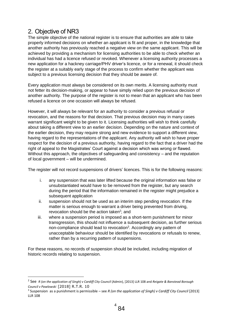# 2. Objective of NR3

 $\overline{a}$ 

The simple objective of the national register is to ensure that authorities are able to take properly informed decisions on whether an applicant is fit and proper, in the knowledge that another authority has previously reached a negative view on the same applicant. This will be achieved by providing a mechanism for licensing authorities to be able to check whether an individual has had a licence refused or revoked. Whenever a licensing authority processes a new application for a hackney carriage/PHV driver's licence, or for a renewal, it should check the register at a suitably early stage of the process to confirm whether the applicant was subject to a previous licensing decision that they should be aware of.

Every application must always be considered on its own merits. A licensing authority must not fetter its decision-making, or appear to have simply relied upon the previous decision of another authority. The purpose of the register is not to mean that an applicant who has been refused a licence on one occasion will always be refused.

However, it will always be relevant for an authority to consider a previous refusal or revocation, and the reasons for that decision. That previous decision may in many cases warrant significant weight to be given to it. Licensing authorities will wish to think carefully about taking a different view to an earlier decision. Depending on the nature and context of the earlier decision, they may require strong and new evidence to support a different view, having regard to the representations of the applicant. Any authority will wish to have proper respect for the decision of a previous authority, having regard to the fact that a driver had the right of appeal to the Magistrates' Court against a decision which was wrong or flawed. Without this approach, the objectives of safeguarding and consistency – and the reputation of local government – will be undermined.

The register will not record suspensions of drivers' licences. This is for the following reasons:

- i. any suspension that was later lifted because the original information was false or unsubstantiated would have to be removed from the register, but any search during the period that the information remained in the register might prejudice a subsequent application
- ii. suspension should not be used as an interim step pending revocation. If the matter is serious enough to warrant a driver being prevented from driving, revocation should be the action taken<sup>2</sup>; and
- iii. where a suspension period is imposed as a short-term punishment for minor transgression, this should not influence a subsequent decision, as further serious non-compliance should lead to revocation<sup>3</sup>. Accordingly any pattern of unacceptable behaviour should be identified by revocations or refusals to renew, rather than by a recurring pattern of suspensions.

For these reasons, no records of suspension should be included, including migration of historic records relating to suspension.

<sup>2</sup> See *R (on the application of Singh) v Cardiff City Council* (Admin), [2013] LLR 108 and *Reigate & Banstead Borough Council v Pawlowski* [2018] R.T.R. 10

<sup>3</sup> Suspension as a punishment is permissible – see *R (on the application of Singh) v Cardiff City Council* [2013] LLR 108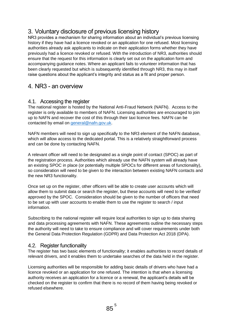# 3. Voluntary disclosure of previous licensing history

NR3 provides a mechanism for sharing information about an individual's previous licensing history if they have had a licence revoked or an application for one refused. Most licensing authorities already ask applicants to indicate on their application forms whether they have previously had a licence revoked or refused. With the introduction of NR3, authorities should ensure that the request for this information is clearly set out on the application form and accompanying guidance notes. Where an applicant fails to volunteer information that has been clearly requested but which is subsequently identified through NR3, this may in itself raise questions about the applicant's integrity and status as a fit and proper person.

# 4. NR3 - an overview

## 4.1. Accessing the register

The national register is hosted by the National Anti-Fraud Network (NAFN). Access to the register is only available to members of NAFN. Licensing authorities are encouraged to join up to NAFN and recover the cost of this through their taxi licence fees. NAFN can be contacted by email on [general@nafn.gov.uk.](mailto:general@nafn.gov.uk)

NAFN members will need to sign up specifically to the NR3 element of the NAFN database, which will allow access to the dedicated portal. This is a relatively straightforward process and can be done by contacting NAFN.

A relevant officer will need to be designated as a single point of contact (SPOC) as part of the registration process. Authorities which already use the NAFN system will already have an existing SPOC in place (or potentially multiple SPOCs for different areas of functionality), so consideration will need to be given to the interaction between existing NAFN contacts and the new NR3 functionality.

Once set up on the register, other officers will be able to create user accounts which will allow them to submit data or search the register, but these accounts will need to be verified/ approved by the SPOC. Consideration should be given to the number of officers that need to be set up with user accounts to enable them to use the register to search / input information.

Subscribing to the national register will require local authorities to sign up to data sharing and data processing agreements with NAFN. These agreements outline the necessary steps the authority will need to take to ensure compliance and will cover requirements under both the General Data Protection Regulation (GDPR) and Data Protection Act 2018 (DPA).

#### 4.2. Register functionality

The register has two basic elements of functionality; it enables authorities to record details of relevant drivers, and it enables them to undertake searches of the data held in the register.

Licensing authorities will be responsible for adding basic details of drivers who have had a licence revoked or an application for one refused. The intention is that when a licensing authority receives an application for a licence or a renewal, the applicant's details will be checked on the register to confirm that there is no record of them having being revoked or refused elsewhere.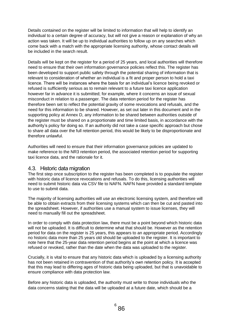Details contained on the register will be limited to information that will help to identify an individual to a certain degree of accuracy, but will not give a reason or explanation of why an action was taken. It will be up to individual authorities to follow up on any searches which come back with a match with the appropriate licensing authority, whose contact details will be included in the search result.

Details will be kept on the register for a period of 25 years, and local authorities will therefore need to ensure that their own information governance policies reflect this. The register has been developed to support public safety through the potential sharing of information that is relevant to consideration of whether an individual is a fit and proper person to hold a taxi licence. There will be instances where the basis for an individual's licence being revoked or refused is sufficiently serious as to remain relevant to a future taxi licence application however far in advance it is submitted; for example, where it concerns an issue of sexual misconduct in relation to a passenger. The data retention period for the register has therefore been set to reflect the potential gravity of some revocations and refusals, and the need for this information to be shared. However, as set out later in this document and in the supporting policy at Annex D, any information to be shared between authorities outside of the register must be shared on a proportionate and time limited basis, in accordance with the authority's policy for doing so. If an authority did not take a case specific approach but chose to share all data over the full retention period, this would be likely to be disproportionate and therefore unlawful.

Authorities will need to ensure that their information governance policies are updated to make reference to the NR3 retention period, the associated retention period for supporting taxi licence data, and the rationale for it.

#### 4.3. Historic data migration

The first step once subscription to the register has been completed is to populate the register with historic data of licence revocations and refusals. To do this, licensing authorities will need to submit historic data via CSV file to NAFN. NAFN have provided a standard template to use to submit data.

The majority of licensing authorities will use an electronic licensing system, and therefore will be able to obtain extracts from their licensing systems which can then be cut and pasted into the spreadsheet. However, if authorities use a manual system to issue licenses, they will need to manually fill out the spreadsheet.

In order to comply with data protection law, there must be a point beyond which historic data will not be uploaded. It is difficult to determine what that should be. However as the retention period for data on the register is 25 years, this appears to an appropriate period. Accordingly no historic data more than 25 years old should be uploaded to the register. It is important to note here that the 25-year data retention period begins at the point at which a licence was refused or revoked, rather than the date when the data was uploaded to the register.

Crucially, it is vital to ensure that any historic data which is uploaded by a licensing authority has not been retained in contravention of that authority's own retention policy. It is accepted that this may lead to differing ages of historic data being uploaded, but that is unavoidable to ensure compliance with data protection law.

Before any historic data is uploaded, the authority must write to those individuals who the data concerns stating that the data will be uploaded at a future date, which should be a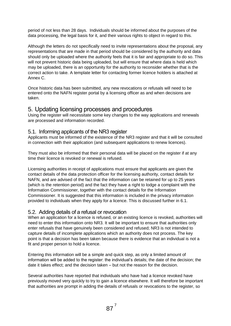period of not less than 28 days. Individuals should be informed about the purposes of the data processing, the legal basis for it, and their various rights to object in regard to this.

Although the letters do not specifically need to invite representations about the proposal, any representations that are made in that period should be considered by the authority and data should only be uploaded where the authority feels that it is fair and appropriate to do so. This will not prevent historic data being uploaded, but will ensure that where data is held which may be uploaded, there is an opportunity for the authority to reconsider whether that is the correct action to take. A template letter for contacting former licence holders is attached at Annex C.

Once historic data has been submitted, any new revocations or refusals will need to be entered onto the NAFN register portal by a licensing officer as and when decisions are taken.

## 5. Updating licensing processes and procedures

Using the register will necessitate some key changes to the way applications and renewals are processed and information recorded.

## 5.1. Informing applicants of the NR3 register

Applicants must be informed of the existence of the NR3 register and that it will be consulted in connection with their application (and subsequent applications to renew licences).

They must also be informed that their personal data will be placed on the register if at any time their licence is revoked or renewal is refused.

Licensing authorities in receipt of applications must ensure that applicants are given the contact details of the data protection officer for the licensing authority, contact details for NAFN, and are advised of the fact that the information can be retained for up to 25 years (which is the retention period) and the fact they have a right to lodge a complaint with the Information Commissioner, together with the contact details for the Information Commissioner. It is suggested that this information is included in the privacy information provided to individuals when they apply for a licence. This is discussed further in 6.1.

#### 5.2. Adding details of a refusal or revocation

When an application for a licence is refused, or an existing licence is revoked, authorities will need to enter this information onto NR3. It will be important to ensure that authorities only enter refusals that have genuinely been considered and refused; NR3 is not intended to capture details of incomplete applications which an authority does not process. The key point is that a decision has been taken because there is evidence that an individual is not a fit and proper person to hold a licence.

Entering this information will be a simple and quick step, as only a limited amount of information will be added to the register: the individual's details; the date of the decision; the date it takes effect; and the decision taken – but not the reason for the decision.

Several authorities have reported that individuals who have had a licence revoked have previously moved very quickly to try to gain a licence elsewhere. It will therefore be important that authorities are prompt in adding the details of refusals or revocations to the register, so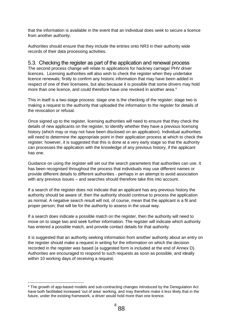that the information is available in the event that an individual does seek to secure a licence from another authority.

Authorities should ensure that they include the entries onto NR3 in their authority wide records of their data processing activities.

#### 5.3. Checking the register as part of the application and renewal process

The second process change will relate to applications for hackney carriage/ PHV driver licences. Licensing authorities will also wish to check the register when they undertake licence renewals; firstly to confirm any historic information that may have been added in respect of one of their licensees, but also because it is possible that some drivers may hold more than one licence, and could therefore have one revoked in another area.<sup>4</sup>

This in itself is a two-stage process: stage one is the checking of the register; stage two is making a request to the authority that uploaded the information to the register for details of the revocation or refusal.

Once signed up to the register, licensing authorities will need to ensure that they check the details of new applicants on the register, to identify whether they have a previous licensing history (which may or may not have been disclosed on an application). Individual authorities will need to determine the appropriate point in their application process at which to check the register; however, it is suggested that this is done at a very early stage so that the authority can processes the application with the knowledge of any previous history, if the applicant has one.

Guidance on using the register will set out the search parameters that authorities can use. It has been recognised throughout the process that individuals may use different names or provide different details to different authorities - perhaps in an attempt to avoid association with any previous issues – and searches should therefore take this into account.

If a search of the register does not indicate that an applicant has any previous history the authority should be aware of, then the authority should continue to process the application as normal. A negative search result will not, of course, mean that the applicant is a fit and proper person; that will be for the authority to assess in the usual way.

If a search does indicate a possible match on the register, then the authority will need to move on to stage two and seek further information. The register will indicate which authority has entered a possible match, and provide contact details for that authority.

It is suggested that an authority seeking information from another authority about an entry on the register should make a request in writing for the information on which the decision recorded in the register was based (a suggested form is included at the end of Annex D). Authorities are encouraged to respond to such requests as soon as possible, and ideally within 10 working days of receiving a request.

1

<sup>&</sup>lt;sup>4</sup> The growth of app-based models and sub-contracting changes introduced by the Deregulation Act have both facilitated increased 'out of area' working, and may therefore make it less likely that in the future, under the existing framework, a driver would hold more than one licence.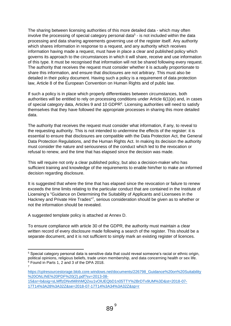The sharing between licensing authorities of this more detailed data - which may often involve the processing of special category personal data<sup>5</sup> - is not included within the data processing and data sharing agreements governing use of the register itself. Any authority which shares information in response to a request, and any authority which receives information having made a request, must have in place a clear and published policy which governs its approach to the circumstances in which it will share, receive and use information of this type. It must be recognised that information will not be shared following every request. The authority that receives the request must consider whether it is actually proportionate to share this information, and ensure that disclosures are not arbitrary. This must also be detailed in their policy document. Having such a policy is a requirement of data protection law, Article 8 of the European Convention on Human Rights and of public law.

If such a policy is in place which properly differentiates between circumstances, both authorities will be entitled to rely on processing conditions under Article 6(1)(e) and, in cases of special category data, Articles 9 and 10 GDPR<sup>6</sup>. Licensing authorities will need to satisfy themselves that they have followed the appropriate processes in sharing this more detailed data.

The authority that receives the request must consider what information, if any, to reveal to the requesting authority. This is not intended to undermine the effects of the register: it is essential to ensure that disclosures are compatible with the Data Protection Act, the General Data Protection Regulations, and the Human Rights Act. In making its decision the authority must consider the nature and seriousness of the conduct which led to the revocation or refusal to renew, and the time that has elapsed since the decision was made.

This will require not only a clear published policy, but also a decision-maker who has sufficient training and knowledge of the requirements to enable him/her to make an informed decision regarding disclosure.

It is suggested that where the time that has elapsed since the revocation or failure to renew exceeds the time limits relating to the particular conduct that are contained in the Institute of Licensing's "Guidance on Determining the Suitability of Applicants and Licensees in the Hackney and Private Hire Trades"<sup>7</sup>, serious consideration should be given as to whether or not the information should be revealed.

A suggested template policy is attached at Annex D.

1

To ensure compliance with article 30 of the GDPR, the authority must maintain a clear written record of every disclosure made following a search of the register. This should be a separate document, and it is not sufficient to simply mark an existing register of licences.

<sup>5</sup> Special category personal data is sensitive data that could reveal someone's racial or ethnic origin, political opinions, religious beliefs, trade union membership, and data concerning health or sex life.  $6$  Found in Parts 1, 2 and 3 of the DPA 2018. 7

[https://cplresourcestorage.blob.core.windows.net/documents/226798\\_Guidance%20on%20Suitability](https://cplresourcestorage.blob.core.windows.net/documents/226798_Guidance%20on%20Suitability%20ONLINE%20PDF%20(2).pdf?sv=2013-08-15&sr=b&sig=sLMffzDNvtMihhMQ2xu1vOlUEQbD1n05TTY%2BrDTv9UM%3D&st=2018-07-17T14%3A28%3A32Z&se=2018-07-17T14%3A34%3A32Z&sp=r) [%20ONLINE%20PDF%20\(2\).pdf?sv=2013-08-](https://cplresourcestorage.blob.core.windows.net/documents/226798_Guidance%20on%20Suitability%20ONLINE%20PDF%20(2).pdf?sv=2013-08-15&sr=b&sig=sLMffzDNvtMihhMQ2xu1vOlUEQbD1n05TTY%2BrDTv9UM%3D&st=2018-07-17T14%3A28%3A32Z&se=2018-07-17T14%3A34%3A32Z&sp=r)

[<sup>15&</sup>amp;sr=b&sig=sLMffzDNvtMihhMQ2xu1vOlUEQbD1n05TTY%2BrDTv9UM%3D&st=2018-07-](https://cplresourcestorage.blob.core.windows.net/documents/226798_Guidance%20on%20Suitability%20ONLINE%20PDF%20(2).pdf?sv=2013-08-15&sr=b&sig=sLMffzDNvtMihhMQ2xu1vOlUEQbD1n05TTY%2BrDTv9UM%3D&st=2018-07-17T14%3A28%3A32Z&se=2018-07-17T14%3A34%3A32Z&sp=r) [17T14%3A28%3A32Z&se=2018-07-17T14%3A34%3A32Z&sp=r](https://cplresourcestorage.blob.core.windows.net/documents/226798_Guidance%20on%20Suitability%20ONLINE%20PDF%20(2).pdf?sv=2013-08-15&sr=b&sig=sLMffzDNvtMihhMQ2xu1vOlUEQbD1n05TTY%2BrDTv9UM%3D&st=2018-07-17T14%3A28%3A32Z&se=2018-07-17T14%3A34%3A32Z&sp=r)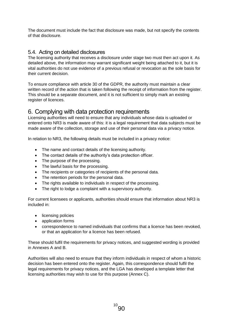The document must include the fact that disclosure was made, but not specify the contents of that disclosure.

### 5.4. Acting on detailed disclosures

The licensing authority that receives a disclosure under stage two must then act upon it. As detailed above, the information may warrant significant weight being attached to it, but it is vital authorities do not use evidence of a previous refusal or revocation as the sole basis for their current decision.

To ensure compliance with article 30 of the GDPR, the authority must maintain a clear written record of the action that is taken following the receipt of information from the register. This should be a separate document, and it is not sufficient to simply mark an existing register of licences.

## 6. Complying with data protection requirements

Licensing authorities will need to ensure that any individuals whose data is uploaded or entered onto NR3 is made aware of this: it is a legal requirement that data subjects must be made aware of the collection, storage and use of their personal data via a privacy notice.

In relation to NR3, the following details must be included in a privacy notice:

- The name and contact details of the licensing authority.
- The contact details of the authority's data protection officer.
- The purpose of the processing.
- The lawful basis for the processing.
- The recipients or categories of recipients of the personal data.
- The retention periods for the personal data.
- The rights available to individuals in respect of the processing.
- The right to lodge a complaint with a supervisory authority.

For current licensees or applicants, authorities should ensure that information about NR3 is included in:

- licensing policies
- application forms
- correspondence to named individuals that confirms that a licence has been revoked, or that an application for a licence has been refused.

These should fulfil the requirements for privacy notices, and suggested wording is provided in Annexes A and B.

Authorities will also need to ensure that they inform individuals in respect of whom a historic decision has been entered onto the register. Again, this correspondence should fulfil the legal requirements for privacy notices, and the LGA has developed a template letter that licensing authorities may wish to use for this purpose (Annex C).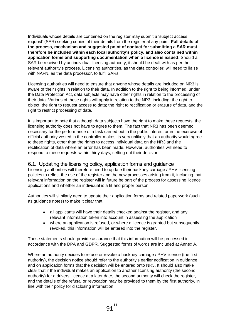Individuals whose details are contained on the register may submit a 'subject access request' (SAR) seeking copies of their details from the register at any point. **Full details of the process, mechanism and suggested point of contact for submitting a SAR must therefore be included within each local authority's policy, and also contained within application forms and supporting documentation when a licence is issued**. Should a SAR be received by an individual licensing authority, it should be dealt with as per the relevant authority's process. Licensing authorities, as the data controller, will need to liaise with NAFN, as the data processor, to fulfil SARs.

Licensing authorities will need to ensure that anyone whose details are included on NR3 is aware of their rights in relation to their data. In addition to the right to being informed, under the Data Protection Act, data subjects may have other rights in relation to the processing of their data. Various of these rights will apply in relation to the NR3, including: the right to object, the right to request access to data; the right to rectification or erasure of data, and the right to restrict processing of data.

It is important to note that although data subjects have the right to make these requests, the licensing authority does not have to agree to them. The fact that NR3 has been deemed necessary for the performance of a task carried out in the public interest or in the exercise of official authority vested in the controller makes its very unlikely that an authority would agree to these rights, other than the rights to access individual data on the NR3 and the rectification of data where an error has been made. However, authorities will need to respond to these requests within thirty days, setting out their decision.

#### 6.1. Updating the licensing policy, application forms and guidance

Licensing authorities will therefore need to update their hackney carriage / PHV licensing policies to reflect the use of the register and the new processes arising from it, including that relevant information on the register will in future be part of the process for assessing licence applications and whether an individual is a fit and proper person.

Authorities will similarly need to update their application forms and related paperwork (such as guidance notes) to make it clear that:

- all applicants will have their details checked against the register, and any relevant information taken into account in assessing the application
- where an application is refused, or where a licence is granted but subsequently revoked, this information will be entered into the register.

These statements should provide assurance that this information will be processed in accordance with the DPA and GDPR. Suggested forms of words are included at Annex A.

Where an authority decides to refuse or revoke a hackney carriage / PHV licence (the first authority), the decision notice should refer to the authority's earlier notification in guidance and on application forms that the decision will be entered onto NR3. It should also make clear that if the individual makes an application to another licensing authority (the second authority) for a drivers' licence at a later date, the second authority will check the register, and the details of the refusal or revocation may be provided to them by the first authority, in line with their policy for disclosing information.